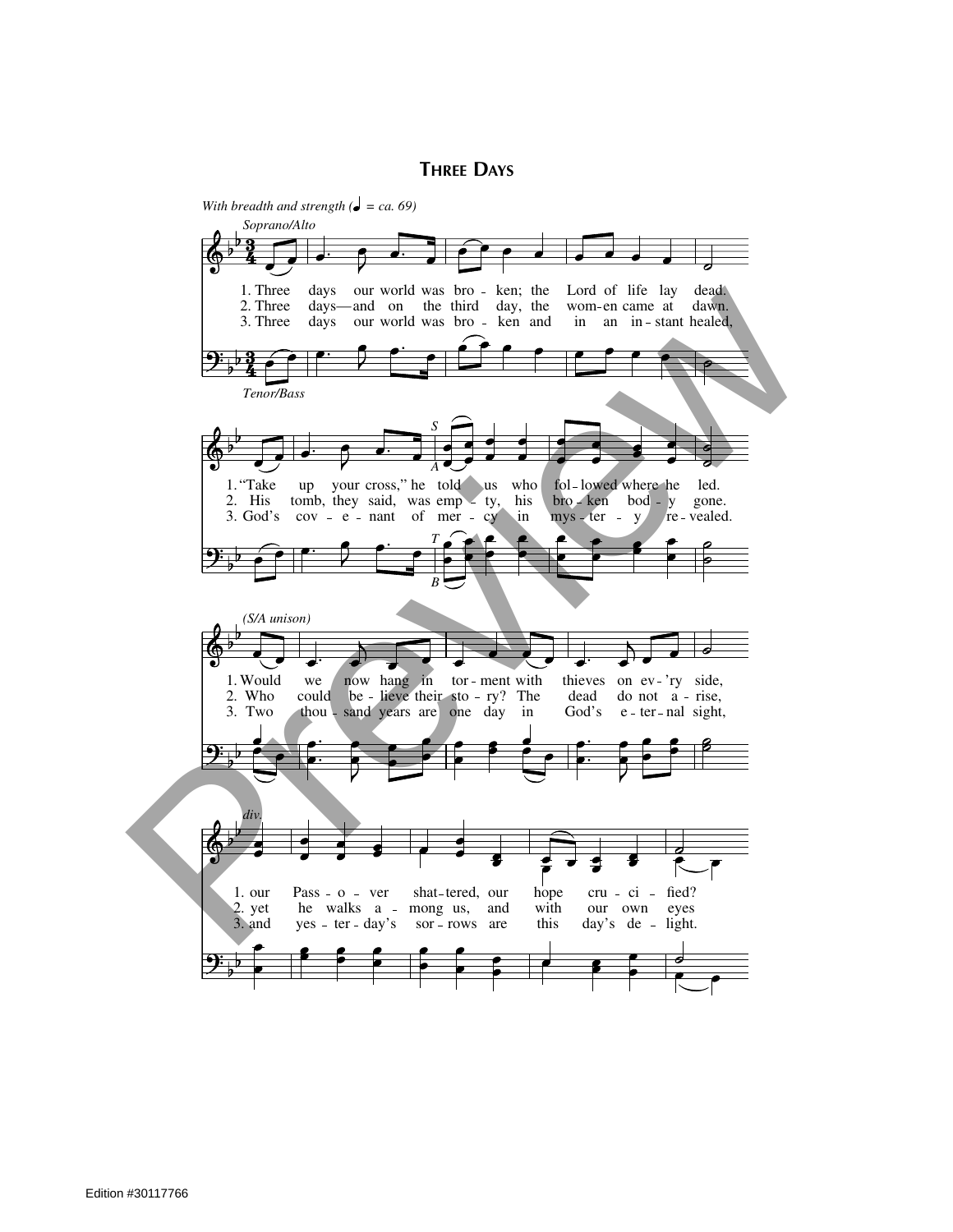**THREE DAYS**